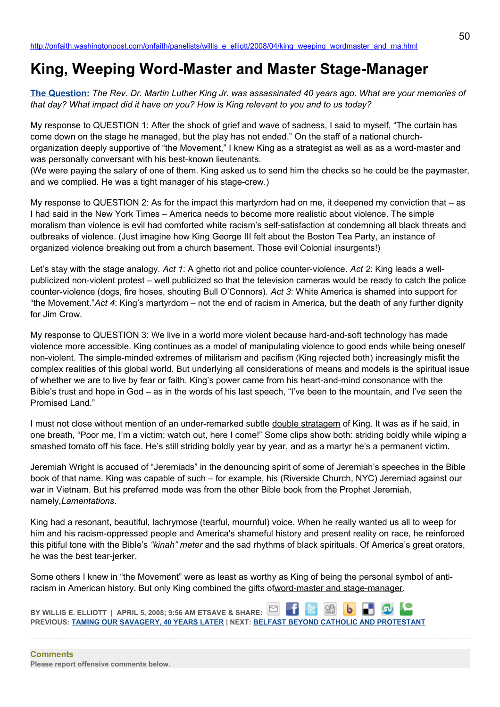## **King, Weeping Word-Master and Master Stage-Manager**

**[The Question:](http://newsweek.washingtonpost.com/onfaith/2008/04/mlk_40_years_later/all.html)** *The Rev. Dr. Martin Luther King Jr. was assassinated 40 years ago. What are your memories of that day? What impact did it have on you? How is King relevant to you and to us today?*

My response to QUESTION 1: After the shock of grief and wave of sadness, I said to myself, "The curtain has come down on the stage he managed, but the play has not ended." On the staff of a national churchorganization deeply supportive of "the Movement," I knew King as a strategist as well as as a word-master and was personally conversant with his best-known lieutenants.

(We were paying the salary of one of them. King asked us to send him the checks so he could be the paymaster, and we complied. He was a tight manager of his stage-crew.)

My response to QUESTION 2: As for the impact this martyrdom had on me, it deepened my conviction that – as I had said in the New York Times – America needs to become more realistic about violence. The simple moralism than violence is evil had comforted white racism's self-satisfaction at condemning all black threats and outbreaks of violence. (Just imagine how King George III felt about the Boston Tea Party, an instance of organized violence breaking out from a church basement. Those evil Colonial insurgents!)

Let's stay with the stage analogy. *Act 1*: A ghetto riot and police counter-violence. *Act 2*: King leads a wellpublicized non-violent protest – well publicized so that the television cameras would be ready to catch the police counter-violence (dogs, fire hoses, shouting Bull O'Connors). *Act 3*: White America is shamed into support for "the Movement."*Act 4*: King's martyrdom – not the end of racism in America, but the death of any further dignity for Jim Crow.

My response to QUESTION 3: We live in a world more violent because hard-and-soft technology has made violence more accessible. King continues as a model of manipulating violence to good ends while being oneself non-violent. The simple-minded extremes of militarism and pacifism (King rejected both) increasingly misfit the complex realities of this global world. But underlying all considerations of means and models is the spiritual issue of whether we are to live by fear or faith. King's power came from his heart-and-mind consonance with the Bible's trust and hope in God – as in the words of his last speech, "I've been to the mountain, and I've seen the Promised Land."

I must not close without mention of an under-remarked subtle double stratagem of King. It was as if he said, in one breath, "Poor me, I'm a victim; watch out, here I come!" Some clips show both: striding boldly while wiping a smashed tomato off his face. He's still striding boldly year by year, and as a martyr he's a permanent victim.

Jeremiah Wright is accused of "Jeremiads" in the denouncing spirit of some of Jeremiah's speeches in the Bible book of that name. King was capable of such – for example, his (Riverside Church, NYC) Jeremiad against our war in Vietnam. But his preferred mode was from the other Bible book from the Prophet Jeremiah, namely,*Lamentations*.

King had a resonant, beautiful, lachrymose (tearful, mournful) voice. When he really wanted us all to weep for him and his racism-oppressed people and America's shameful history and present reality on race, he reinforced this pitiful tone with the Bible's *"kinah" meter* and the sad rhythms of black spirituals. Of America's great orators, he was the best tear-jerker.

Some others I knew in "the Movement" were as least as worthy as King of being the personal symbol of antiracism in American history. But only King combined the gifts ofword-master and stage-manager.

**BY WILLIS E. ELLIOTT | APRIL 5, 2008; 9:56 AM ETSAVE & SHARE: PREVIOUS: [TAMING OUR SAVAGERY, 40 YEARS LATER](http://onfaith.washingtonpost.com/onfaith/panelists/gabriel_salguero/2008/04/taming_our_savagery.html) | NEXT: [BELFAST BEYOND CATHOLIC AND PROTESTANT](http://onfaith.washingtonpost.com/onfaith/panelists/eboo_patel/2008/04/belfast_beyond_catholic_and_pr.html)**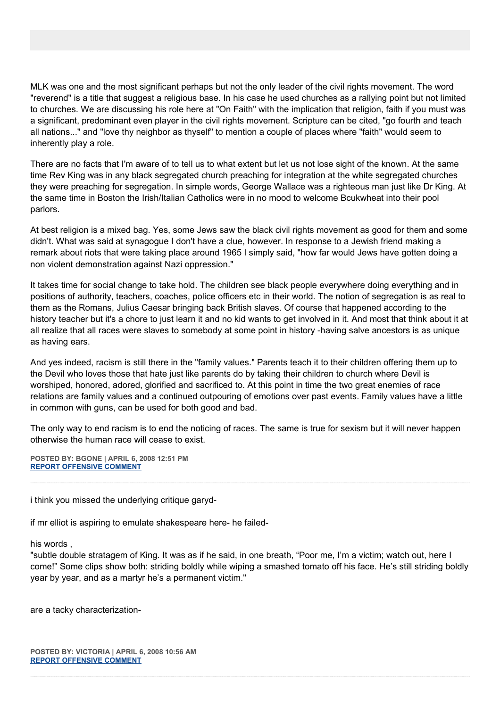MLK was one and the most significant perhaps but not the only leader of the civil rights movement. The word "reverend" is a title that suggest a religious base. In his case he used churches as a rallying point but not limited to churches. We are discussing his role here at "On Faith" with the implication that religion, faith if you must was a significant, predominant even player in the civil rights movement. Scripture can be cited, "go fourth and teach all nations..." and "love thy neighbor as thyself" to mention a couple of places where "faith" would seem to inherently play a role.

There are no facts that I'm aware of to tell us to what extent but let us not lose sight of the known. At the same time Rev King was in any black segregated church preaching for integration at the white segregated churches they were preaching for segregation. In simple words, George Wallace was a righteous man just like Dr King. At the same time in Boston the Irish/Italian Catholics were in no mood to welcome Bcukwheat into their pool parlors.

At best religion is a mixed bag. Yes, some Jews saw the black civil rights movement as good for them and some didn't. What was said at synagogue I don't have a clue, however. In response to a Jewish friend making a remark about riots that were taking place around 1965 I simply said, "how far would Jews have gotten doing a non violent demonstration against Nazi oppression."

It takes time for social change to take hold. The children see black people everywhere doing everything and in positions of authority, teachers, coaches, police officers etc in their world. The notion of segregation is as real to them as the Romans, Julius Caesar bringing back British slaves. Of course that happened according to the history teacher but it's a chore to just learn it and no kid wants to get involved in it. And most that think about it at all realize that all races were slaves to somebody at some point in history -having salve ancestors is as unique as having ears.

And yes indeed, racism is still there in the "family values." Parents teach it to their children offering them up to the Devil who loves those that hate just like parents do by taking their children to church where Devil is worshiped, honored, adored, glorified and sacrificed to. At this point in time the two great enemies of race relations are family values and a continued outpouring of emotions over past events. Family values have a little in common with guns, can be used for both good and bad.

The only way to end racism is to end the noticing of races. The same is true for sexism but it will never happen otherwise the human race will cease to exist.

**POSTED BY: BGONE | APRIL 6, 2008 12:51 PM [REPORT OFFENSIVE COMMENT](mailto:blogs@washingtonpost.com?subject=On%20Faith%20Panelists%20Blog%20%20%7C%20%20BGone%20%20%7C%20%20King,%20Weeping%20Word-Master%20and%20Master%20Stage-Manager%20%20%7C%20%203032423&body=%0D%0D%0D%0D%0D================%0D?__mode=view%26_type=comment%26id=3032423%26blog_id=618)**

i think you missed the underlying critique garyd-

if mr elliot is aspiring to emulate shakespeare here- he failed-

his words ,

"subtle double stratagem of King. It was as if he said, in one breath, "Poor me, I'm a victim; watch out, here I come!" Some clips show both: striding boldly while wiping a smashed tomato off his face. He's still striding boldly year by year, and as a martyr he's a permanent victim."

are a tacky characterization-